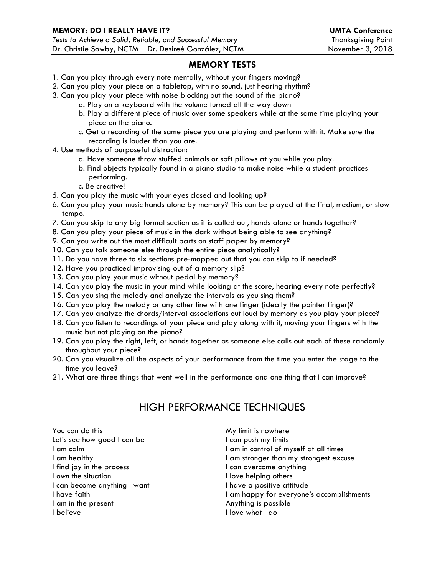## **MEMORY TESTS**

- 1. Can you play through every note mentally, without your fingers moving?
- 2. Can you play your piece on a tabletop, with no sound, just hearing rhythm?
- 3. Can you play your piece with noise blocking out the sound of the piano?
	- a. Play on a keyboard with the volume turned all the way down
	- b. Play a different piece of music over some speakers while at the same time playing your piece on the piano.
	- c. Get a recording of the same piece you are playing and perform with it. Make sure the recording is louder than you are.
- 4. Use methods of purposeful distraction:
	- a. Have someone throw stuffed animals or soft pillows at you while you play.
	- b. Find objects typically found in a piano studio to make noise while a student practices performing.
	- c. Be creative!
- 5. Can you play the music with your eyes closed and looking up?
- 6. Can you play your music hands alone by memory? This can be played at the final, medium, or slow tempo.
- 7. Can you skip to any big formal section as it is called out, hands alone or hands together?
- 8. Can you play your piece of music in the dark without being able to see anything?
- 9. Can you write out the most difficult parts on staff paper by memory?
- 10. Can you talk someone else through the entire piece analytically?
- 11. Do you have three to six sections pre-mapped out that you can skip to if needed?
- 12. Have you practiced improvising out of a memory slip?
- 13. Can you play your music without pedal by memory?
- 14. Can you play the music in your mind while looking at the score, hearing every note perfectly?
- 15. Can you sing the melody and analyze the intervals as you sing them?
- 16. Can you play the melody or any other line with one finger (ideally the pointer finger)?
- 17. Can you analyze the chords/interval associations out loud by memory as you play your piece?
- 18. Can you listen to recordings of your piece and play along with it, moving your fingers with the music but not playing on the piano?
- 19. Can you play the right, left, or hands together as someone else calls out each of these randomly throughout your piece?
- 20. Can you visualize all the aspects of your performance from the time you enter the stage to the time you leave?
- 21. What are three things that went well in the performance and one thing that I can improve?

## HIGH PERFORMANCE TECHNIQUES

You can do this Let's see how good I can be I am calm I am healthy I find joy in the process I *own* the situation I can become anything I want I have faith I am in the present I believe

My limit is nowhere I can push my limits I am in control of myself at all times I am stronger than my strongest excuse I can overcome anything I love helping others I have a positive attitude I am happy for everyone's accomplishments Anything is possible I love what I do